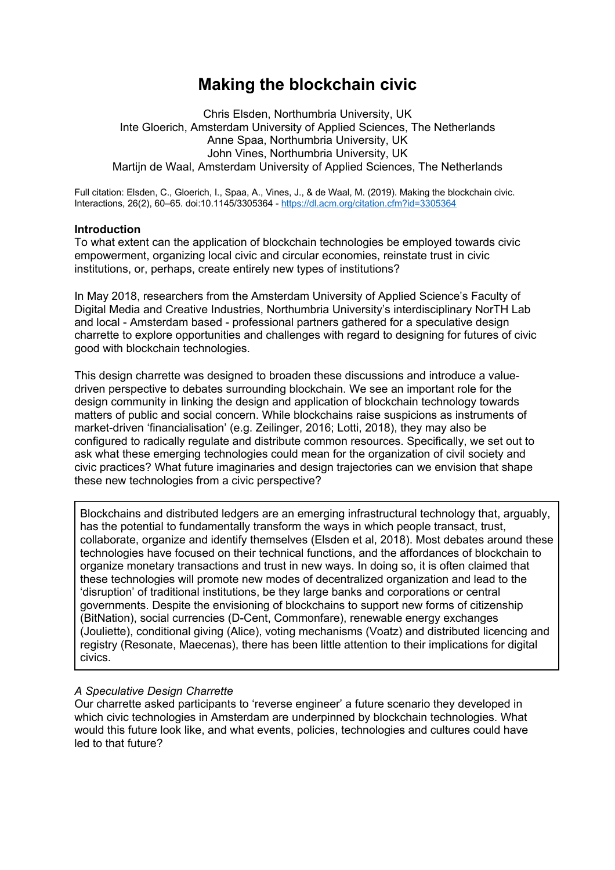# **Making the blockchain civic**

Chris Elsden, Northumbria University, UK Inte Gloerich, Amsterdam University of Applied Sciences, The Netherlands Anne Spaa, Northumbria University, UK John Vines, Northumbria University, UK Martijn de Waal, Amsterdam University of Applied Sciences, The Netherlands

Full citation: Elsden, C., Gloerich, I., Spaa, A., Vines, J., & de Waal, M. (2019). Making the blockchain civic. Interactions, 26(2), 60–65. doi:10.1145/3305364 - https://dl.acm.org/citation.cfm?id=3305364

## **Introduction**

To what extent can the application of blockchain technologies be employed towards civic empowerment, organizing local civic and circular economies, reinstate trust in civic institutions, or, perhaps, create entirely new types of institutions?

In May 2018, researchers from the Amsterdam University of Applied Science's Faculty of Digital Media and Creative Industries, Northumbria University's interdisciplinary NorTH Lab and local - Amsterdam based - professional partners gathered for a speculative design charrette to explore opportunities and challenges with regard to designing for futures of civic good with blockchain technologies.

This design charrette was designed to broaden these discussions and introduce a valuedriven perspective to debates surrounding blockchain. We see an important role for the design community in linking the design and application of blockchain technology towards matters of public and social concern. While blockchains raise suspicions as instruments of market-driven 'financialisation' (e.g. Zeilinger, 2016; Lotti, 2018), they may also be configured to radically regulate and distribute common resources. Specifically, we set out to ask what these emerging technologies could mean for the organization of civil society and civic practices? What future imaginaries and design trajectories can we envision that shape these new technologies from a civic perspective?

Blockchains and distributed ledgers are an emerging infrastructural technology that, arguably, has the potential to fundamentally transform the ways in which people transact, trust, collaborate, organize and identify themselves (Elsden et al, 2018). Most debates around these technologies have focused on their technical functions, and the affordances of blockchain to organize monetary transactions and trust in new ways. In doing so, it is often claimed that these technologies will promote new modes of decentralized organization and lead to the 'disruption' of traditional institutions, be they large banks and corporations or central governments. Despite the envisioning of blockchains to support new forms of citizenship (BitNation), social currencies (D-Cent, Commonfare), renewable energy exchanges (Jouliette), conditional giving (Alice), voting mechanisms (Voatz) and distributed licencing and registry (Resonate, Maecenas), there has been little attention to their implications for digital civics.

# *A Speculative Design Charrette*

Our charrette asked participants to 'reverse engineer' a future scenario they developed in which civic technologies in Amsterdam are underpinned by blockchain technologies. What would this future look like, and what events, policies, technologies and cultures could have led to that future?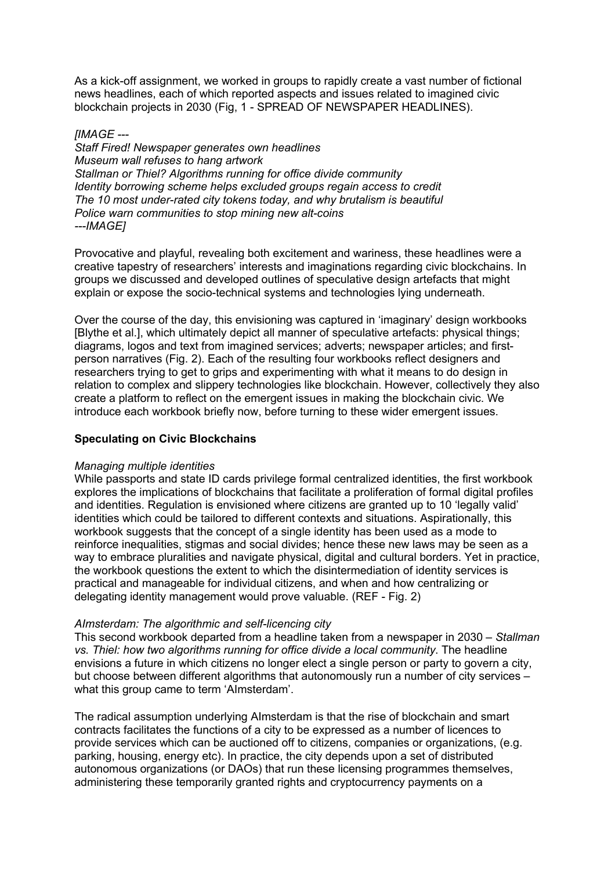As a kick-off assignment, we worked in groups to rapidly create a vast number of fictional news headlines, each of which reported aspects and issues related to imagined civic blockchain projects in 2030 (Fig, 1 - SPREAD OF NEWSPAPER HEADLINES).

## *[IMAGE ---*

*Staff Fired! Newspaper generates own headlines Museum wall refuses to hang artwork Stallman or Thiel? Algorithms running for office divide community Identity borrowing scheme helps excluded groups regain access to credit The 10 most under-rated city tokens today, and why brutalism is beautiful Police warn communities to stop mining new alt-coins ---IMAGE]*

Provocative and playful, revealing both excitement and wariness, these headlines were a creative tapestry of researchers' interests and imaginations regarding civic blockchains. In groups we discussed and developed outlines of speculative design artefacts that might explain or expose the socio-technical systems and technologies lying underneath.

Over the course of the day, this envisioning was captured in 'imaginary' design workbooks [Blythe et al.], which ultimately depict all manner of speculative artefacts: physical things; diagrams, logos and text from imagined services; adverts; newspaper articles; and firstperson narratives (Fig. 2). Each of the resulting four workbooks reflect designers and researchers trying to get to grips and experimenting with what it means to do design in relation to complex and slippery technologies like blockchain. However, collectively they also create a platform to reflect on the emergent issues in making the blockchain civic. We introduce each workbook briefly now, before turning to these wider emergent issues.

# **Speculating on Civic Blockchains**

### *Managing multiple identities*

While passports and state ID cards privilege formal centralized identities, the first workbook explores the implications of blockchains that facilitate a proliferation of formal digital profiles and identities. Regulation is envisioned where citizens are granted up to 10 'legally valid' identities which could be tailored to different contexts and situations. Aspirationally, this workbook suggests that the concept of a single identity has been used as a mode to reinforce inequalities, stigmas and social divides; hence these new laws may be seen as a way to embrace pluralities and navigate physical, digital and cultural borders. Yet in practice, the workbook questions the extent to which the disintermediation of identity services is practical and manageable for individual citizens, and when and how centralizing or delegating identity management would prove valuable. (REF - Fig. 2)

### *AImsterdam: The algorithmic and self-licencing city*

This second workbook departed from a headline taken from a newspaper in 2030 – *Stallman vs. Thiel: how two algorithms running for office divide a local community*. The headline envisions a future in which citizens no longer elect a single person or party to govern a city, but choose between different algorithms that autonomously run a number of city services – what this group came to term 'AImsterdam'.

The radical assumption underlying AImsterdam is that the rise of blockchain and smart contracts facilitates the functions of a city to be expressed as a number of licences to provide services which can be auctioned off to citizens, companies or organizations, (e.g. parking, housing, energy etc). In practice, the city depends upon a set of distributed autonomous organizations (or DAOs) that run these licensing programmes themselves, administering these temporarily granted rights and cryptocurrency payments on a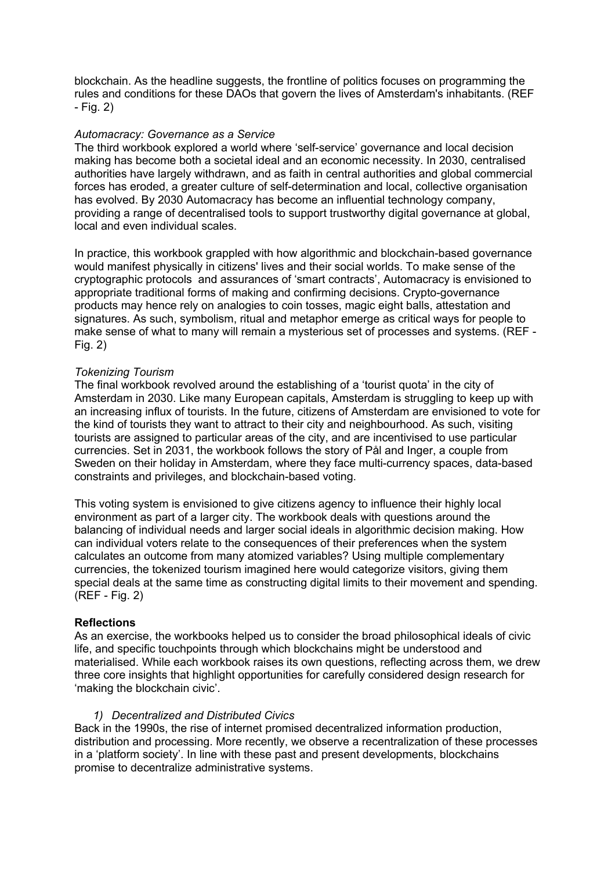blockchain. As the headline suggests, the frontline of politics focuses on programming the rules and conditions for these DAOs that govern the lives of Amsterdam's inhabitants. (REF - Fig. 2)

## *Automacracy: Governance as a Service*

The third workbook explored a world where 'self-service' governance and local decision making has become both a societal ideal and an economic necessity. In 2030, centralised authorities have largely withdrawn, and as faith in central authorities and global commercial forces has eroded, a greater culture of self-determination and local, collective organisation has evolved. By 2030 Automacracy has become an influential technology company, providing a range of decentralised tools to support trustworthy digital governance at global, local and even individual scales.

In practice, this workbook grappled with how algorithmic and blockchain-based governance would manifest physically in citizens' lives and their social worlds. To make sense of the cryptographic protocols and assurances of 'smart contracts', Automacracy is envisioned to appropriate traditional forms of making and confirming decisions. Crypto-governance products may hence rely on analogies to coin tosses, magic eight balls, attestation and signatures. As such, symbolism, ritual and metaphor emerge as critical ways for people to make sense of what to many will remain a mysterious set of processes and systems. (REF - Fig. 2)

### *Tokenizing Tourism*

The final workbook revolved around the establishing of a 'tourist quota' in the city of Amsterdam in 2030. Like many European capitals, Amsterdam is struggling to keep up with an increasing influx of tourists. In the future, citizens of Amsterdam are envisioned to vote for the kind of tourists they want to attract to their city and neighbourhood. As such, visiting tourists are assigned to particular areas of the city, and are incentivised to use particular currencies. Set in 2031, the workbook follows the story of Pål and Inger, a couple from Sweden on their holiday in Amsterdam, where they face multi-currency spaces, data-based constraints and privileges, and blockchain-based voting.

This voting system is envisioned to give citizens agency to influence their highly local environment as part of a larger city. The workbook deals with questions around the balancing of individual needs and larger social ideals in algorithmic decision making. How can individual voters relate to the consequences of their preferences when the system calculates an outcome from many atomized variables? Using multiple complementary currencies, the tokenized tourism imagined here would categorize visitors, giving them special deals at the same time as constructing digital limits to their movement and spending. (REF - Fig. 2)

### **Reflections**

As an exercise, the workbooks helped us to consider the broad philosophical ideals of civic life, and specific touchpoints through which blockchains might be understood and materialised. While each workbook raises its own questions, reflecting across them, we drew three core insights that highlight opportunities for carefully considered design research for 'making the blockchain civic'.

### *1) Decentralized and Distributed Civics*

Back in the 1990s, the rise of internet promised decentralized information production, distribution and processing. More recently, we observe a recentralization of these processes in a 'platform society'. In line with these past and present developments, blockchains promise to decentralize administrative systems.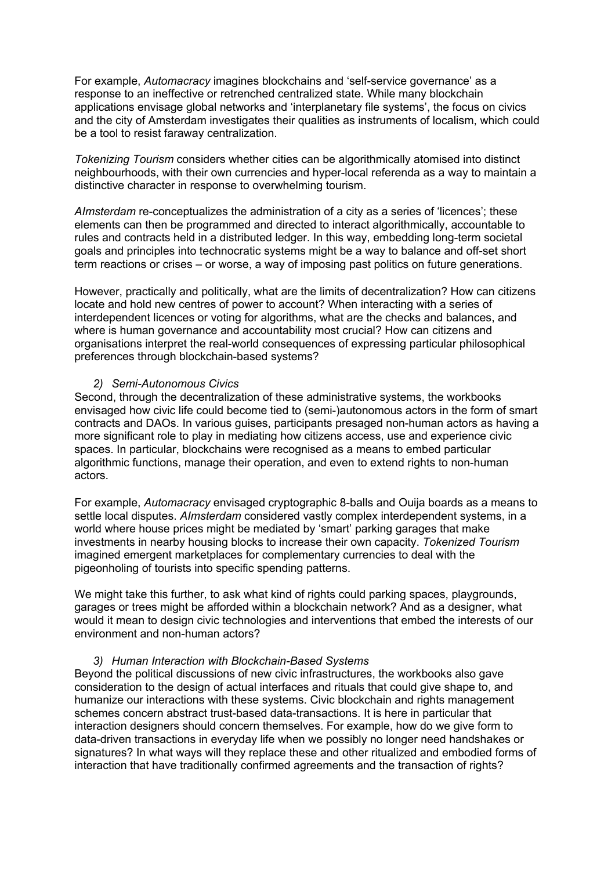For example, *Automacracy* imagines blockchains and 'self-service governance' as a response to an ineffective or retrenched centralized state. While many blockchain applications envisage global networks and 'interplanetary file systems', the focus on civics and the city of Amsterdam investigates their qualities as instruments of localism, which could be a tool to resist faraway centralization.

*Tokenizing Tourism* considers whether cities can be algorithmically atomised into distinct neighbourhoods, with their own currencies and hyper-local referenda as a way to maintain a distinctive character in response to overwhelming tourism.

*AImsterdam* re-conceptualizes the administration of a city as a series of 'licences'; these elements can then be programmed and directed to interact algorithmically, accountable to rules and contracts held in a distributed ledger. In this way, embedding long-term societal goals and principles into technocratic systems might be a way to balance and off-set short term reactions or crises – or worse, a way of imposing past politics on future generations.

However, practically and politically, what are the limits of decentralization? How can citizens locate and hold new centres of power to account? When interacting with a series of interdependent licences or voting for algorithms, what are the checks and balances, and where is human governance and accountability most crucial? How can citizens and organisations interpret the real-world consequences of expressing particular philosophical preferences through blockchain-based systems?

#### *2) Semi-Autonomous Civics*

Second, through the decentralization of these administrative systems, the workbooks envisaged how civic life could become tied to (semi-)autonomous actors in the form of smart contracts and DAOs. In various guises, participants presaged non-human actors as having a more significant role to play in mediating how citizens access, use and experience civic spaces. In particular, blockchains were recognised as a means to embed particular algorithmic functions, manage their operation, and even to extend rights to non-human actors.

For example, *Automacracy* envisaged cryptographic 8-balls and Ouija boards as a means to settle local disputes. *AImsterdam* considered vastly complex interdependent systems, in a world where house prices might be mediated by 'smart' parking garages that make investments in nearby housing blocks to increase their own capacity. *Tokenized Tourism* imagined emergent marketplaces for complementary currencies to deal with the pigeonholing of tourists into specific spending patterns.

We might take this further, to ask what kind of rights could parking spaces, playgrounds, garages or trees might be afforded within a blockchain network? And as a designer, what would it mean to design civic technologies and interventions that embed the interests of our environment and non-human actors?

#### *3) Human Interaction with Blockchain-Based Systems*

Beyond the political discussions of new civic infrastructures, the workbooks also gave consideration to the design of actual interfaces and rituals that could give shape to, and humanize our interactions with these systems. Civic blockchain and rights management schemes concern abstract trust-based data-transactions. It is here in particular that interaction designers should concern themselves. For example, how do we give form to data-driven transactions in everyday life when we possibly no longer need handshakes or signatures? In what ways will they replace these and other ritualized and embodied forms of interaction that have traditionally confirmed agreements and the transaction of rights?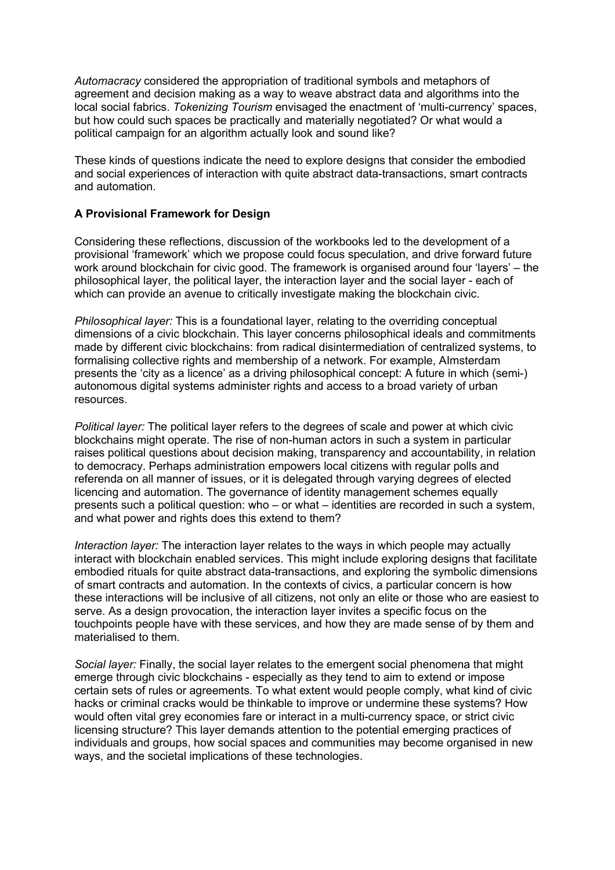*Automacracy* considered the appropriation of traditional symbols and metaphors of agreement and decision making as a way to weave abstract data and algorithms into the local social fabrics. *Tokenizing Tourism* envisaged the enactment of 'multi-currency' spaces, but how could such spaces be practically and materially negotiated? Or what would a political campaign for an algorithm actually look and sound like?

These kinds of questions indicate the need to explore designs that consider the embodied and social experiences of interaction with quite abstract data-transactions, smart contracts and automation.

## **A Provisional Framework for Design**

Considering these reflections, discussion of the workbooks led to the development of a provisional 'framework' which we propose could focus speculation, and drive forward future work around blockchain for civic good. The framework is organised around four 'layers' – the philosophical layer, the political layer, the interaction layer and the social layer - each of which can provide an avenue to critically investigate making the blockchain civic.

*Philosophical layer:* This is a foundational layer, relating to the overriding conceptual dimensions of a civic blockchain. This layer concerns philosophical ideals and commitments made by different civic blockchains: from radical disintermediation of centralized systems, to formalising collective rights and membership of a network. For example, AImsterdam presents the 'city as a licence' as a driving philosophical concept: A future in which (semi-) autonomous digital systems administer rights and access to a broad variety of urban resources.

*Political layer:* The political layer refers to the degrees of scale and power at which civic blockchains might operate. The rise of non-human actors in such a system in particular raises political questions about decision making, transparency and accountability, in relation to democracy. Perhaps administration empowers local citizens with regular polls and referenda on all manner of issues, or it is delegated through varying degrees of elected licencing and automation. The governance of identity management schemes equally presents such a political question: who – or what – identities are recorded in such a system, and what power and rights does this extend to them?

*Interaction layer:* The interaction layer relates to the ways in which people may actually interact with blockchain enabled services. This might include exploring designs that facilitate embodied rituals for quite abstract data-transactions, and exploring the symbolic dimensions of smart contracts and automation. In the contexts of civics, a particular concern is how these interactions will be inclusive of all citizens, not only an elite or those who are easiest to serve. As a design provocation, the interaction layer invites a specific focus on the touchpoints people have with these services, and how they are made sense of by them and materialised to them.

*Social layer:* Finally, the social layer relates to the emergent social phenomena that might emerge through civic blockchains - especially as they tend to aim to extend or impose certain sets of rules or agreements. To what extent would people comply, what kind of civic hacks or criminal cracks would be thinkable to improve or undermine these systems? How would often vital grey economies fare or interact in a multi-currency space, or strict civic licensing structure? This layer demands attention to the potential emerging practices of individuals and groups, how social spaces and communities may become organised in new ways, and the societal implications of these technologies.